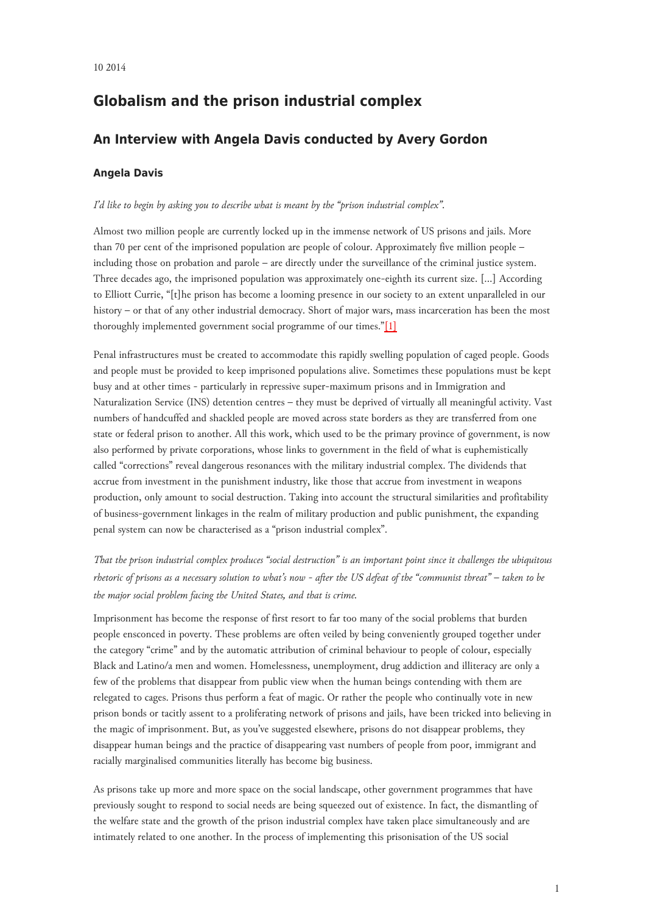# **Globalism and the prison industrial complex**

## **An Interview with Angela Davis conducted by Avery Gordon**

### **Angela Davis**

#### *I'd like to begin by asking you to describe what is meant by the "prison industrial complex".*

<span id="page-0-0"></span>Almost two million people are currently locked up in the immense network of US prisons and jails. More than 70 per cent of the imprisoned population are people of colour. Approximately five million people – including those on probation and parole – are directly under the surveillance of the criminal justice system. Three decades ago, the imprisoned population was approximately one-eighth its current size. […] According to Elliott Currie, "[t]he prison has become a looming presence in our society to an extent unparalleled in our history – or that of any other industrial democracy. Short of major wars, mass incarceration has been the most thoroughly implemented government social programme of our times."[\[1\]](#page-4-0)

Penal infrastructures must be created to accommodate this rapidly swelling population of caged people. Goods and people must be provided to keep imprisoned populations alive. Sometimes these populations must be kept busy and at other times - particularly in repressive super-maximum prisons and in Immigration and Naturalization Service (INS) detention centres – they must be deprived of virtually all meaningful activity. Vast numbers of handcuffed and shackled people are moved across state borders as they are transferred from one state or federal prison to another. All this work, which used to be the primary province of government, is now also performed by private corporations, whose links to government in the field of what is euphemistically called "corrections" reveal dangerous resonances with the military industrial complex. The dividends that accrue from investment in the punishment industry, like those that accrue from investment in weapons production, only amount to social destruction. Taking into account the structural similarities and profitability of business-government linkages in the realm of military production and public punishment, the expanding penal system can now be characterised as a "prison industrial complex".

*That the prison industrial complex produces "social destruction" is an important point since it challenges the ubiquitous rhetoric of prisons as a necessary solution to what's now - after the US defeat of the "communist threat" – taken to be the major social problem facing the United States, and that is crime.*

Imprisonment has become the response of first resort to far too many of the social problems that burden people ensconced in poverty. These problems are often veiled by being conveniently grouped together under the category "crime" and by the automatic attribution of criminal behaviour to people of colour, especially Black and Latino/a men and women. Homelessness, unemployment, drug addiction and illiteracy are only a few of the problems that disappear from public view when the human beings contending with them are relegated to cages. Prisons thus perform a feat of magic. Or rather the people who continually vote in new prison bonds or tacitly assent to a proliferating network of prisons and jails, have been tricked into believing in the magic of imprisonment. But, as you've suggested elsewhere, prisons do not disappear problems, they disappear human beings and the practice of disappearing vast numbers of people from poor, immigrant and racially marginalised communities literally has become big business.

As prisons take up more and more space on the social landscape, other government programmes that have previously sought to respond to social needs are being squeezed out of existence. In fact, the dismantling of the welfare state and the growth of the prison industrial complex have taken place simultaneously and are intimately related to one another. In the process of implementing this prisonisation of the US social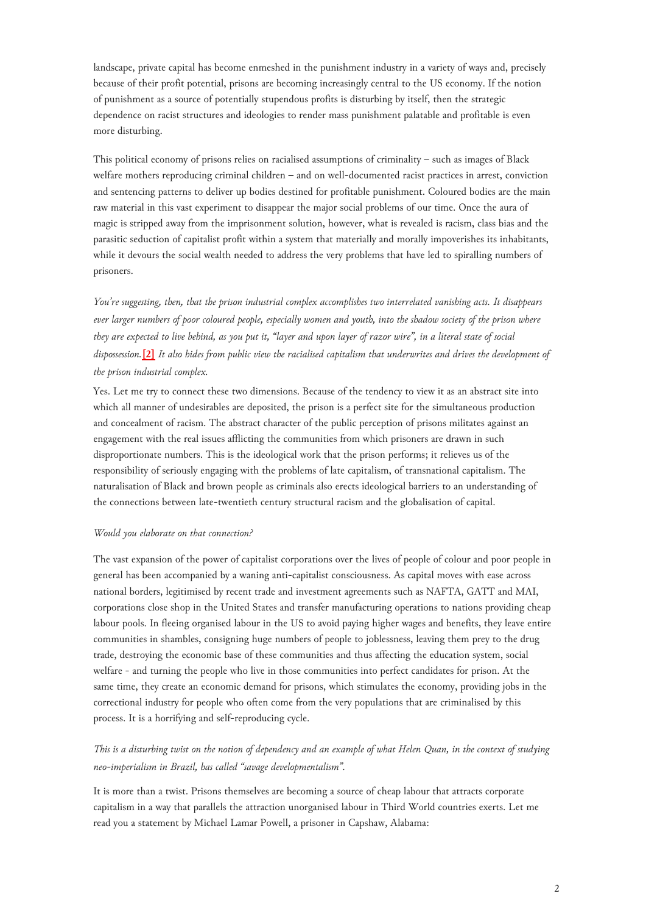landscape, private capital has become enmeshed in the punishment industry in a variety of ways and, precisely because of their profit potential, prisons are becoming increasingly central to the US economy. If the notion of punishment as a source of potentially stupendous profits is disturbing by itself, then the strategic dependence on racist structures and ideologies to render mass punishment palatable and profitable is even more disturbing.

This political economy of prisons relies on racialised assumptions of criminality – such as images of Black welfare mothers reproducing criminal children – and on well-documented racist practices in arrest, conviction and sentencing patterns to deliver up bodies destined for profitable punishment. Coloured bodies are the main raw material in this vast experiment to disappear the major social problems of our time. Once the aura of magic is stripped away from the imprisonment solution, however, what is revealed is racism, class bias and the parasitic seduction of capitalist profit within a system that materially and morally impoverishes its inhabitants, while it devours the social wealth needed to address the very problems that have led to spiralling numbers of prisoners.

<span id="page-1-0"></span>*You're suggesting, then, that the prison industrial complex accomplishes two interrelated vanishing acts. It disappears ever larger numbers of poor coloured people, especially women and youth, into the shadow society of the prison where they are expected to live behind, as you put it, "layer and upon layer of razor wire", in a literal state of social dispossession.***[\[2\]](#page-4-1)** *It also hides from public view the racialised capitalism that underwrites and drives the development of the prison industrial complex.*

Yes. Let me try to connect these two dimensions. Because of the tendency to view it as an abstract site into which all manner of undesirables are deposited, the prison is a perfect site for the simultaneous production and concealment of racism. The abstract character of the public perception of prisons militates against an engagement with the real issues afflicting the communities from which prisoners are drawn in such disproportionate numbers. This is the ideological work that the prison performs; it relieves us of the responsibility of seriously engaging with the problems of late capitalism, of transnational capitalism. The naturalisation of Black and brown people as criminals also erects ideological barriers to an understanding of the connections between late-twentieth century structural racism and the globalisation of capital.

#### *Would you elaborate on that connection?*

The vast expansion of the power of capitalist corporations over the lives of people of colour and poor people in general has been accompanied by a waning anti-capitalist consciousness. As capital moves with ease across national borders, legitimised by recent trade and investment agreements such as NAFTA, GATT and MAI, corporations close shop in the United States and transfer manufacturing operations to nations providing cheap labour pools. In fleeing organised labour in the US to avoid paying higher wages and benefits, they leave entire communities in shambles, consigning huge numbers of people to joblessness, leaving them prey to the drug trade, destroying the economic base of these communities and thus affecting the education system, social welfare - and turning the people who live in those communities into perfect candidates for prison. At the same time, they create an economic demand for prisons, which stimulates the economy, providing jobs in the correctional industry for people who often come from the very populations that are criminalised by this process. It is a horrifying and self-reproducing cycle.

*This is a disturbing twist on the notion of dependency and an example of what Helen Quan, in the context of studying neo-imperialism in Brazil, has called "savage developmentalism".*

It is more than a twist. Prisons themselves are becoming a source of cheap labour that attracts corporate capitalism in a way that parallels the attraction unorganised labour in Third World countries exerts. Let me read you a statement by Michael Lamar Powell, a prisoner in Capshaw, Alabama: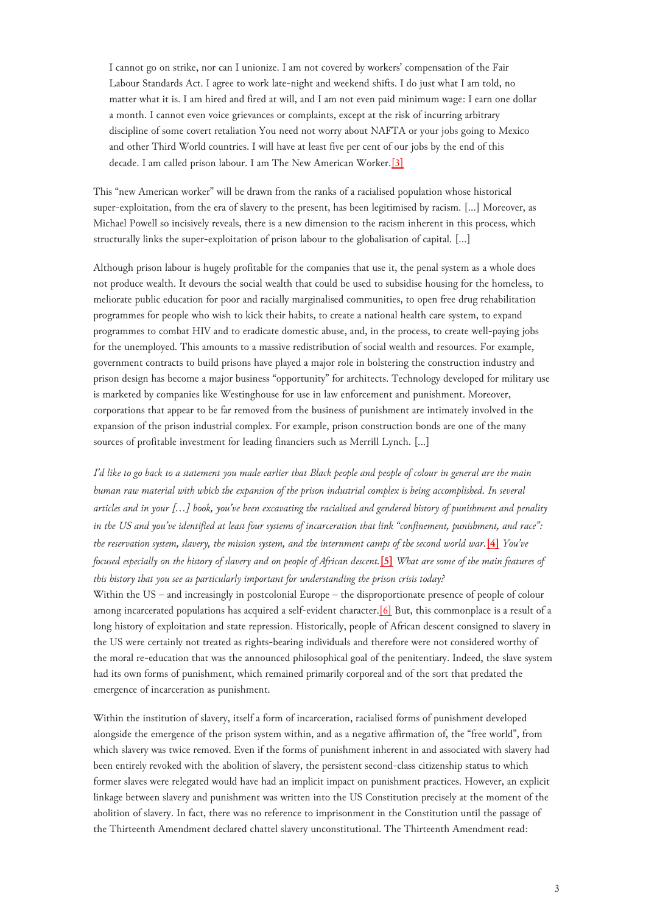<span id="page-2-0"></span>I cannot go on strike, nor can I unionize. I am not covered by workers' compensation of the Fair Labour Standards Act. I agree to work late-night and weekend shifts. I do just what I am told, no matter what it is. I am hired and fired at will, and I am not even paid minimum wage: I earn one dollar a month. I cannot even voice grievances or complaints, except at the risk of incurring arbitrary discipline of some covert retaliation You need not worry about NAFTA or your jobs going to Mexico and other Third World countries. I will have at least five per cent of our jobs by the end of this decade. I am called prison labour. I am The New American Worker.[\[3\]](#page-4-2)

This "new American worker" will be drawn from the ranks of a racialised population whose historical super-exploitation, from the era of slavery to the present, has been legitimised by racism. […] Moreover, as Michael Powell so incisively reveals, there is a new dimension to the racism inherent in this process, which structurally links the super-exploitation of prison labour to the globalisation of capital. […]

Although prison labour is hugely profitable for the companies that use it, the penal system as a whole does not produce wealth. It devours the social wealth that could be used to subsidise housing for the homeless, to meliorate public education for poor and racially marginalised communities, to open free drug rehabilitation programmes for people who wish to kick their habits, to create a national health care system, to expand programmes to combat HIV and to eradicate domestic abuse, and, in the process, to create well-paying jobs for the unemployed. This amounts to a massive redistribution of social wealth and resources. For example, government contracts to build prisons have played a major role in bolstering the construction industry and prison design has become a major business "opportunity" for architects. Technology developed for military use is marketed by companies like Westinghouse for use in law enforcement and punishment. Moreover, corporations that appear to be far removed from the business of punishment are intimately involved in the expansion of the prison industrial complex. For example, prison construction bonds are one of the many sources of profitable investment for leading financiers such as Merrill Lynch. […]

<span id="page-2-1"></span>*I'd like to go back to a statement you made earlier that Black people and people of colour in general are the main human raw material with which the expansion of the prison industrial complex is being accomplished. In several articles and in your […] book, you've been excavating the racialised and gendered history of punishment and penality in the US and you've identified at least four systems of incarceration that link "confinement, punishment, and race": the reservation system, slavery, the mission system, and the internment camps of the second world war.***[\[4\]](#page-5-0)** *You've focused especially on the history of slavery and on people of African descent.***[\[5\]](#page-5-1)** *What are some of the main features of this history that you see as particularly important for understanding the prison crisis today?*

<span id="page-2-2"></span>Within the US – and increasingly in postcolonial Europe – the disproportionate presence of people of colour among incarcerated populations has acquired a self-evident character.[\[6\]](#page-5-2) But, this commonplace is a result of a long history of exploitation and state repression. Historically, people of African descent consigned to slavery in the US were certainly not treated as rights-bearing individuals and therefore were not considered worthy of the moral re-education that was the announced philosophical goal of the penitentiary. Indeed, the slave system had its own forms of punishment, which remained primarily corporeal and of the sort that predated the emergence of incarceration as punishment.

Within the institution of slavery, itself a form of incarceration, racialised forms of punishment developed alongside the emergence of the prison system within, and as a negative affirmation of, the "free world", from which slavery was twice removed. Even if the forms of punishment inherent in and associated with slavery had been entirely revoked with the abolition of slavery, the persistent second-class citizenship status to which former slaves were relegated would have had an implicit impact on punishment practices. However, an explicit linkage between slavery and punishment was written into the US Constitution precisely at the moment of the abolition of slavery. In fact, there was no reference to imprisonment in the Constitution until the passage of the Thirteenth Amendment declared chattel slavery unconstitutional. The Thirteenth Amendment read: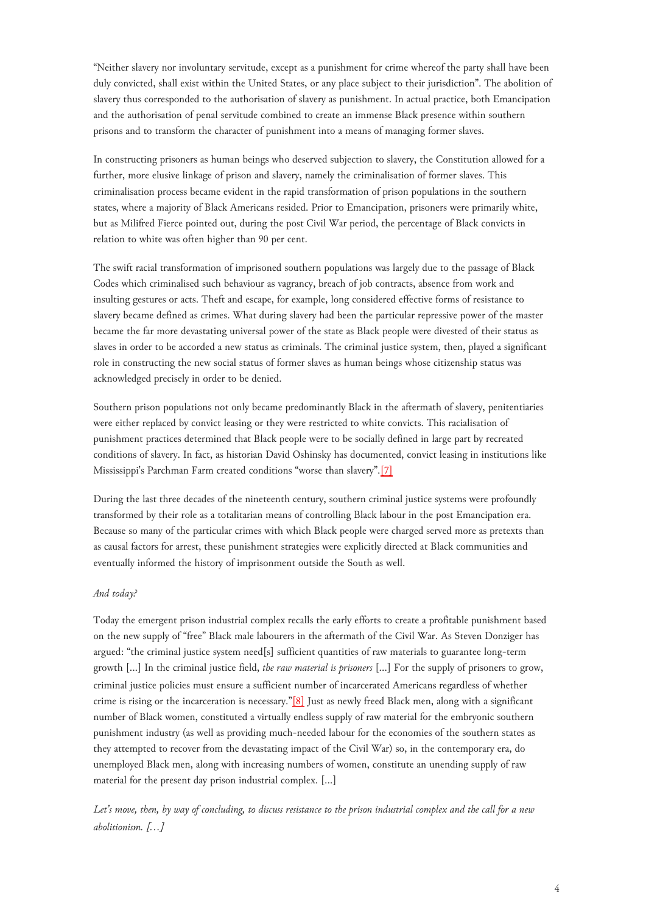"Neither slavery nor involuntary servitude, except as a punishment for crime whereof the party shall have been duly convicted, shall exist within the United States, or any place subject to their jurisdiction". The abolition of slavery thus corresponded to the authorisation of slavery as punishment. In actual practice, both Emancipation and the authorisation of penal servitude combined to create an immense Black presence within southern prisons and to transform the character of punishment into a means of managing former slaves.

In constructing prisoners as human beings who deserved subjection to slavery, the Constitution allowed for a further, more elusive linkage of prison and slavery, namely the criminalisation of former slaves. This criminalisation process became evident in the rapid transformation of prison populations in the southern states, where a majority of Black Americans resided. Prior to Emancipation, prisoners were primarily white, but as Milifred Fierce pointed out, during the post Civil War period, the percentage of Black convicts in relation to white was often higher than 90 per cent.

The swift racial transformation of imprisoned southern populations was largely due to the passage of Black Codes which criminalised such behaviour as vagrancy, breach of job contracts, absence from work and insulting gestures or acts. Theft and escape, for example, long considered effective forms of resistance to slavery became defined as crimes. What during slavery had been the particular repressive power of the master became the far more devastating universal power of the state as Black people were divested of their status as slaves in order to be accorded a new status as criminals. The criminal justice system, then, played a significant role in constructing the new social status of former slaves as human beings whose citizenship status was acknowledged precisely in order to be denied.

<span id="page-3-0"></span>Southern prison populations not only became predominantly Black in the aftermath of slavery, penitentiaries were either replaced by convict leasing or they were restricted to white convicts. This racialisation of punishment practices determined that Black people were to be socially defined in large part by recreated conditions of slavery. In fact, as historian David Oshinsky has documented, convict leasing in institutions like Mississippi's Parchman Farm created conditions "worse than slavery".[\[7\]](#page-5-3)

During the last three decades of the nineteenth century, southern criminal justice systems were profoundly transformed by their role as a totalitarian means of controlling Black labour in the post Emancipation era. Because so many of the particular crimes with which Black people were charged served more as pretexts than as causal factors for arrest, these punishment strategies were explicitly directed at Black communities and eventually informed the history of imprisonment outside the South as well.

#### *And today?*

<span id="page-3-1"></span>Today the emergent prison industrial complex recalls the early efforts to create a profitable punishment based on the new supply of "free" Black male labourers in the aftermath of the Civil War. As Steven Donziger has argued: "the criminal justice system need[s] sufficient quantities of raw materials to guarantee long-term growth […] In the criminal justice field, *the raw material is prisoners* […] For the supply of prisoners to grow, criminal justice policies must ensure a sufficient number of incarcerated Americans regardless of whether crime is rising or the incarceration is necessary."[\[8\]](#page-5-4) Just as newly freed Black men, along with a significant number of Black women, constituted a virtually endless supply of raw material for the embryonic southern punishment industry (as well as providing much-needed labour for the economies of the southern states as they attempted to recover from the devastating impact of the Civil War) so, in the contemporary era, do unemployed Black men, along with increasing numbers of women, constitute an unending supply of raw material for the present day prison industrial complex. […]

*Let's move, then, by way of concluding, to discuss resistance to the prison industrial complex and the call for a new abolitionism. […]*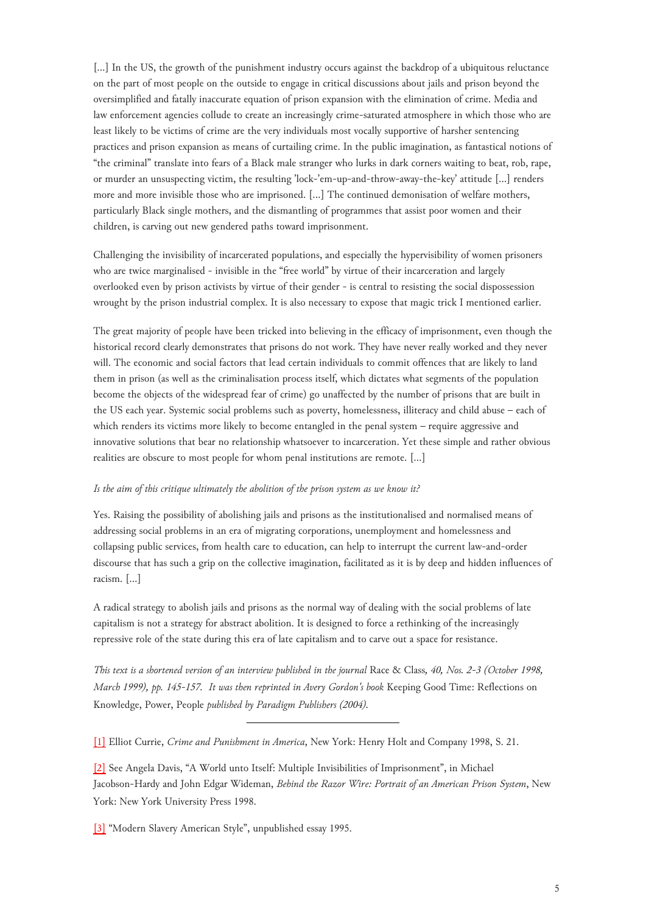[...] In the US, the growth of the punishment industry occurs against the backdrop of a ubiquitous reluctance on the part of most people on the outside to engage in critical discussions about jails and prison beyond the oversimplified and fatally inaccurate equation of prison expansion with the elimination of crime. Media and law enforcement agencies collude to create an increasingly crime-saturated atmosphere in which those who are least likely to be victims of crime are the very individuals most vocally supportive of harsher sentencing practices and prison expansion as means of curtailing crime. In the public imagination, as fantastical notions of "the criminal" translate into fears of a Black male stranger who lurks in dark corners waiting to beat, rob, rape, or murder an unsuspecting victim, the resulting 'lock-'em-up-and-throw-away-the-key' attitude […] renders more and more invisible those who are imprisoned. […] The continued demonisation of welfare mothers, particularly Black single mothers, and the dismantling of programmes that assist poor women and their children, is carving out new gendered paths toward imprisonment.

Challenging the invisibility of incarcerated populations, and especially the hypervisibility of women prisoners who are twice marginalised - invisible in the "free world" by virtue of their incarceration and largely overlooked even by prison activists by virtue of their gender - is central to resisting the social dispossession wrought by the prison industrial complex. It is also necessary to expose that magic trick I mentioned earlier.

The great majority of people have been tricked into believing in the efficacy of imprisonment, even though the historical record clearly demonstrates that prisons do not work. They have never really worked and they never will. The economic and social factors that lead certain individuals to commit offences that are likely to land them in prison (as well as the criminalisation process itself, which dictates what segments of the population become the objects of the widespread fear of crime) go unaffected by the number of prisons that are built in the US each year. Systemic social problems such as poverty, homelessness, illiteracy and child abuse – each of which renders its victims more likely to become entangled in the penal system – require aggressive and innovative solutions that bear no relationship whatsoever to incarceration. Yet these simple and rather obvious realities are obscure to most people for whom penal institutions are remote. […]

#### *Is the aim of this critique ultimately the abolition of the prison system as we know it?*

Yes. Raising the possibility of abolishing jails and prisons as the institutionalised and normalised means of addressing social problems in an era of migrating corporations, unemployment and homelessness and collapsing public services, from health care to education, can help to interrupt the current law-and-order discourse that has such a grip on the collective imagination, facilitated as it is by deep and hidden influences of racism. […]

A radical strategy to abolish jails and prisons as the normal way of dealing with the social problems of late capitalism is not a strategy for abstract abolition. It is designed to force a rethinking of the increasingly repressive role of the state during this era of late capitalism and to carve out a space for resistance.

*This text is a shortened version of an interview published in the journal* Race & Class*, 40, Nos. 2-3 (October 1998, March 1999), pp. 145-157. It was then reprinted in Avery Gordon's book* Keeping Good Time: Reflections on Knowledge, Power, People *published by Paradigm Publishers (2004).*

<span id="page-4-0"></span>[\[1\]](#page-0-0) Elliot Currie, *Crime and Punishment in America*, New York: Henry Holt and Company 1998, S. 21.

<span id="page-4-1"></span>[\[2\]](#page-1-0) See Angela Davis, "A World unto Itself: Multiple Invisibilities of Imprisonment", in Michael Jacobson-Hardy and John Edgar Wideman, *Behind the Razor Wire: Portrait of an American Prison System*, New York: New York University Press 1998.

<span id="page-4-2"></span>[\[3\]](#page-2-0) "Modern Slavery American Style", unpublished essay 1995.